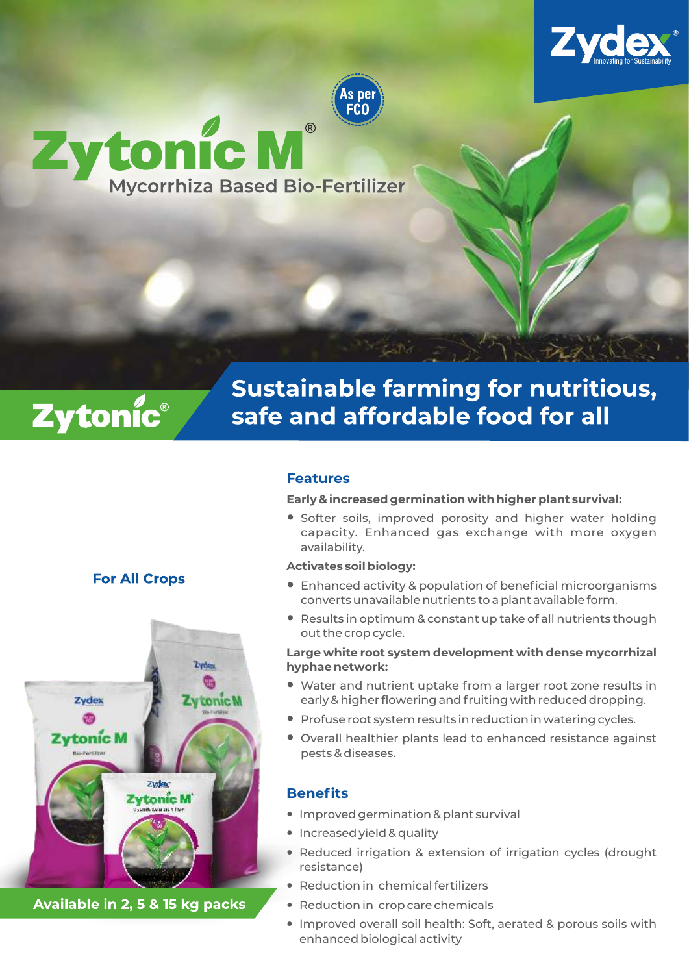



# Zytonic Mi  $\overline{\mathbb{R}}$ **Mycorrhiza Based Bio-Fertilizer**



# **Sustainable farming for nutritious,** safe and affordable food for all

## **Features**

**Early & increased germination with higher plant survival:**

— Softer soils, improved porosity and higher water holding capacity. Enhanced gas exchange with more oxygen availability.

## **Activates soil biology:**

- Enhanced activity & population of beneficial microorganisms converts unavailable nutrients to a plant available form.
- Results in optimum & constant up take of all nutrients though out the crop cycle.

#### **Large white root system development with dense mycorrhizal hyphae network:**

- Water and nutrient uptake from a larger root zone results in early & higher flowering and fruiting with reduced dropping.
- Profuse root system results in reduction in watering cycles.
- Overall healthier plants lead to enhanced resistance against pests & diseases.

## **Benefits**

- Improved germination & plant survival
- Increased yield & quality
- Reduced irrigation & extension of irrigation cycles (drought resistance)
- Reduction in chemical fertilizers
- Reduction in crop care chemicals
- Improved overall soil health: Soft, aerated & porous soils with enhanced biological activity

## **For All Crops**



Available in 2, 5 & 15 kg packs